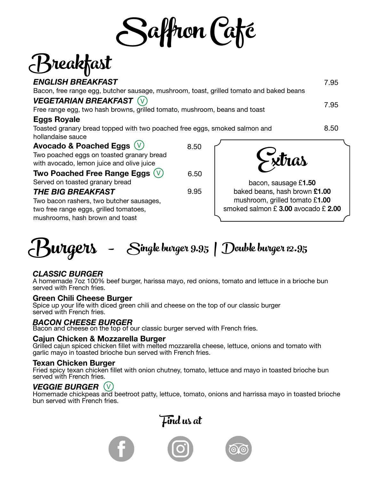Saffron Café

# Breakfast

| <b>ENGLISH BREAKFAST</b>                                                                |      | 7.95                          |
|-----------------------------------------------------------------------------------------|------|-------------------------------|
| Bacon, free range egg, butcher sausage, mushroom, toast, grilled tomato and baked beans |      |                               |
| <b>VEGETARIAN BREAKFAST</b> (V)                                                         |      | 7.95                          |
| Free range egg, two hash browns, grilled tomato, mushroom, beans and toast              |      |                               |
| <b>Eggs Royale</b>                                                                      |      |                               |
| Toasted granary bread topped with two poached free eggs, smoked salmon and              |      | 8.50                          |
| hollandaise sauce                                                                       |      |                               |
| Avocado & Poached Eggs $(V)$                                                            | 8.50 |                               |
| Two poached eggs on toasted granary bread                                               |      |                               |
| with avocado, lemon juice and olive juice                                               |      | $\sim$ xtras                  |
| Two Poached Free Range Eggs $(V)$                                                       | 6.50 |                               |
| Served on toasted granary bread                                                         |      | bacon, sausage £1.50          |
| <b>THE BIG BREAKFAST</b>                                                                | 9.95 | baked beans, hash brown £1.00 |

Two bacon rashers, two butcher sausages, two free range eggs, grilled tomatoes, mushrooms, hash brown and toast

baked beans, hash brown **£1.00** mushroom, grilled tomato £**1.00** smoked salmon £ **3.00** avocado £ **2.00**



### *CLASSIC BURGER*

A homemade 7oz 100% beef burger, harissa mayo, red onions, tomato and lettuce in a brioche bun served with French fries.

**Green Chili Cheese Burger**<br>Spice up your life with diced green chili and cheese on the top of our classic burger served with French fries.

### *BACON CHEESE BURGER*

Bacon and cheese on the top of our classic burger served with French fries.

### **Cajun Chicken & Mozzarella Burger**

Grilled cajun spiced chicken fillet with melted mozzarella cheese, lettuce, onions and tomato with garlic mayo in toasted brioche bun served with French fries.

### **Texan Chicken Burger**

Fried spicy texan chicken fillet with onion chutney, tomato, lettuce and mayo in toasted brioche bun served with French fries.

### *VEGGIE BURGER* V

Homemade chickpeas and beetroot patty, lettuce, tomato, onions and harrissa mayo in toasted brioche bun served with French fries.